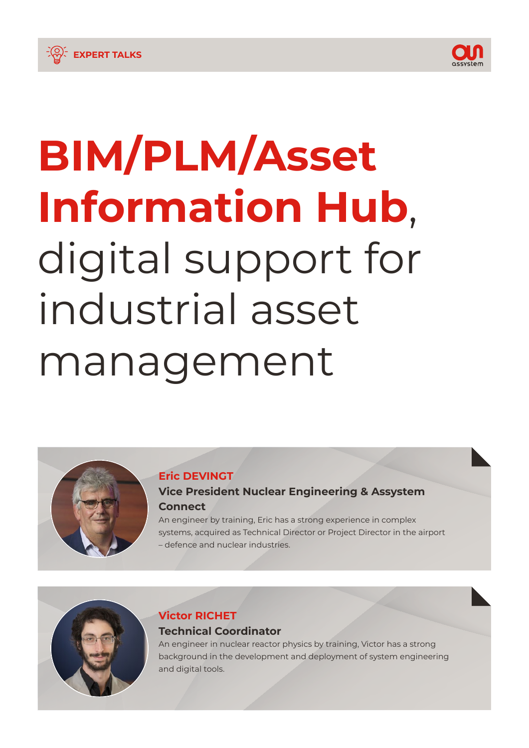

## **EXPERT TALKS**

# **BIM/PLM/Asset Information Hub**, digital support for industrial asset management

### **Eric DEVINGT**

## **Vice President Nuclear Engineering & Assystem Connect**

An engineer by training, Eric has a strong experience in complex systems, acquired as Technical Director or Project Director in the airport – defence and nuclear industries.

## **Victor RICHET Technical Coordinator**

An engineer in nuclear reactor physics by training, Victor has a strong background in the development and deployment of system engineering and digital tools.

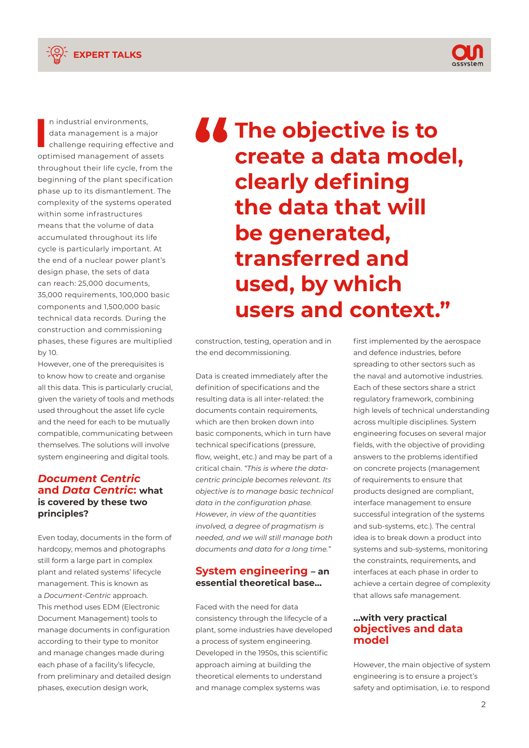



**I** n industrial environments, data management is a major challenge requiring effective and optimised management of assets throughout their life cycle, from the beginning of the plant specification phase up to its dismantlement. The complexity of the systems operated within some infrastructures means that the volume of data accumulated throughout its life cycle is particularly important. At the end of a nuclear power plant's design phase, the sets of data can reach: 25,000 documents, 35,000 requirements, 100,000 basic components and 1,500,000 basic technical data records. During the construction and commissioning phases, these figures are multiplied by 10.

However, one of the prerequisites is to know how to create and organise all this data. This is particularly crucial, given the variety of tools and methods used throughout the asset life cycle and the need for each to be mutually compatible, communicating between themselves. The solutions will involve system engineering and digital tools.

#### *Document Centric* **and** *Data Centric***: what is covered by these two principles?**

Even today, documents in the form of hardcopy, memos and photographs still form a large part in complex plant and related systems' lifecycle management. This is known as a *Document-Centric* approach. This method uses EDM (Electronic Document Management) tools to manage documents in configuration according to their type to monitor and manage changes made during each phase of a facility's lifecycle, from preliminary and detailed design phases, execution design work,

*LE* The objective is to **create a data model, clearly defining the data that will be generated, transferred and used, by which users and context."**

construction, testing, operation and in the end decommissioning.

Data is created immediately after the definition of specifications and the resulting data is all inter-related: the documents contain requirements, which are then broken down into basic components, which in turn have technical specifications (pressure, flow, weight, etc.) and may be part of a critical chain. *"This is where the datacentric principle becomes relevant. Its objective is to manage basic technical data in the configuration phase. However, in view of the quantities involved, a degree of pragmatism is needed, and we will still manage both documents and data for a long time."*

#### **System engineering – an essential theoretical base…**

Faced with the need for data consistency through the lifecycle of a plant, some industries have developed a process of system engineering. Developed in the 1950s, this scientific approach aiming at building the theoretical elements to understand and manage complex systems was

first implemented by the aerospace and defence industries, before spreading to other sectors such as the naval and automotive industries. Each of these sectors share a strict regulatory framework, combining high levels of technical understanding across multiple disciplines. System engineering focuses on several major fields, with the objective of providing answers to the problems identified on concrete projects (management of requirements to ensure that products designed are compliant, interface management to ensure successful integration of the systems and sub-systems, etc.). The central idea is to break down a product into systems and sub-systems, monitoring the constraints, requirements, and interfaces at each phase in order to achieve a certain degree of complexity that allows safe management.

#### **…with very practical objectives and data model**

However, the main objective of system engineering is to ensure a project's safety and optimisation, i.e. to respond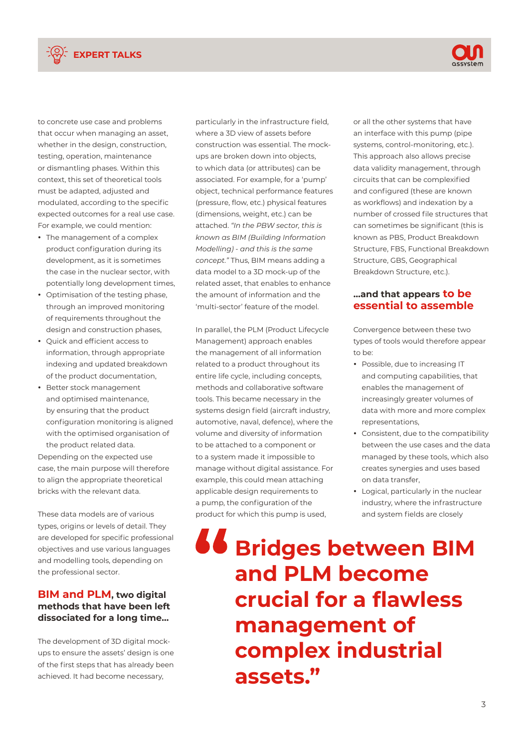



to concrete use case and problems that occur when managing an asset, whether in the design, construction, testing, operation, maintenance or dismantling phases. Within this context, this set of theoretical tools must be adapted, adjusted and modulated, according to the specific expected outcomes for a real use case. For example, we could mention:

- The management of a complex product configuration during its development, as it is sometimes the case in the nuclear sector, with potentially long development times,
- Optimisation of the testing phase, through an improved monitoring of requirements throughout the design and construction phases,
- Quick and efficient access to information, through appropriate indexing and updated breakdown of the product documentation,
- Better stock management and optimised maintenance, by ensuring that the product configuration monitoring is aligned with the optimised organisation of the product related data.

Depending on the expected use case, the main purpose will therefore to align the appropriate theoretical bricks with the relevant data.

These data models are of various types, origins or levels of detail. They are developed for specific professional objectives and use various languages and modelling tools, depending on the professional sector.

#### **BIM and PLM, two digital methods that have been left dissociated for a long time…**

The development of 3D digital mockups to ensure the assets' design is one of the first steps that has already been achieved. It had become necessary,

particularly in the infrastructure field, where a 3D view of assets before construction was essential. The mockups are broken down into objects, to which data (or attributes) can be associated. For example, for a 'pump' object, technical performance features (pressure, flow, etc.) physical features (dimensions, weight, etc.) can be attached. *"In the PBW sector, this is known as BIM (Building Information Modelling) - and this is the same concept."* Thus, BIM means adding a data model to a 3D mock-up of the related asset, that enables to enhance the amount of information and the 'multi-sector' feature of the model.

In parallel, the PLM (Product Lifecycle Management) approach enables the management of all information related to a product throughout its entire life cycle, including concepts, methods and collaborative software tools. This became necessary in the systems design field (aircraft industry, automotive, naval, defence), where the volume and diversity of information to be attached to a component or to a system made it impossible to manage without digital assistance. For example, this could mean attaching applicable design requirements to a pump, the configuration of the product for which this pump is used,

or all the other systems that have an interface with this pump (pipe systems, control-monitoring, etc.). This approach also allows precise data validity management, through circuits that can be complexified and configured (these are known as workflows) and indexation by a number of crossed file structures that can sometimes be significant (this is known as PBS, Product Breakdown Structure, FBS, Functional Breakdown Structure, GBS, Geographical Breakdown Structure, etc.).

#### **…and that appears to be essential to assemble**

Convergence between these two types of tools would therefore appear to be:

- Possible, due to increasing IT and computing capabilities, that enables the management of increasingly greater volumes of data with more and more complex representations,
- Consistent, due to the compatibility between the use cases and the data managed by these tools, which also creates synergies and uses based on data transfer,
- Logical, particularly in the nuclear industry, where the infrastructure and system fields are closely

**Bridges between BIM and PLM become crucial for a flawless management of complex industrial assets."**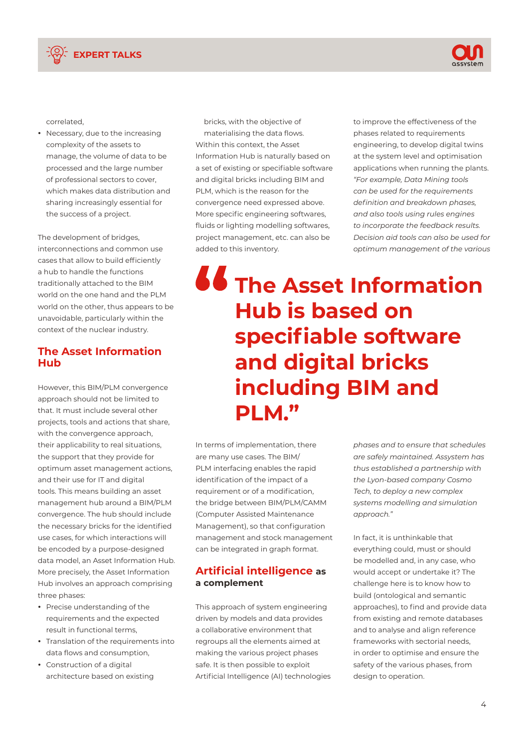



correlated,

• Necessary, due to the increasing complexity of the assets to manage, the volume of data to be processed and the large number of professional sectors to cover, which makes data distribution and sharing increasingly essential for the success of a project.

The development of bridges, interconnections and common use cases that allow to build efficiently a hub to handle the functions traditionally attached to the BIM world on the one hand and the PLM world on the other, thus appears to be unavoidable, particularly within the context of the nuclear industry.

#### **The Asset Information Hub**

However, this BIM/PLM convergence approach should not be limited to that. It must include several other projects, tools and actions that share, with the convergence approach, their applicability to real situations, the support that they provide for optimum asset management actions, and their use for IT and digital tools. This means building an asset management hub around a BIM/PLM convergence. The hub should include the necessary bricks for the identified use cases, for which interactions will be encoded by a purpose-designed data model, an Asset Information Hub. More precisely, the Asset Information Hub involves an approach comprising three phases:

- Precise understanding of the requirements and the expected result in functional terms,
- Translation of the requirements into data flows and consumption,
- Construction of a digital architecture based on existing

bricks, with the objective of materialising the data flows. Within this context, the Asset Information Hub is naturally based on a set of existing or specifiable software and digital bricks including BIM and PLM, which is the reason for the convergence need expressed above. More specific engineering softwares, fluids or lighting modelling softwares, project management, etc. can also be added to this inventory.

to improve the effectiveness of the phases related to requirements engineering, to develop digital twins at the system level and optimisation applications when running the plants. *"For example, Data Mining tools can be used for the requirements definition and breakdown phases, and also tools using rules engines to incorporate the feedback results. Decision aid tools can also be used for optimum management of the various* 

# *LE* The Asset Information **Hub is based on specifiable software and digital bricks including BIM and PLM."**

In terms of implementation, there are many use cases. The BIM/ PLM interfacing enables the rapid identification of the impact of a requirement or of a modification, the bridge between BIM/PLM/CAMM (Computer Assisted Maintenance Management), so that configuration management and stock management can be integrated in graph format.

#### **Artificial intelligence as a complement**

This approach of system engineering driven by models and data provides a collaborative environment that regroups all the elements aimed at making the various project phases safe. It is then possible to exploit Artificial Intelligence (AI) technologies *phases and to ensure that schedules are safely maintained. Assystem has thus established a partnership with the Lyon-based company Cosmo Tech, to deploy a new complex systems modelling and simulation approach."*

In fact, it is unthinkable that everything could, must or should be modelled and, in any case, who would accept or undertake it? The challenge here is to know how to build (ontological and semantic approaches), to find and provide data from existing and remote databases and to analyse and align reference frameworks with sectorial needs, in order to optimise and ensure the safety of the various phases, from design to operation.